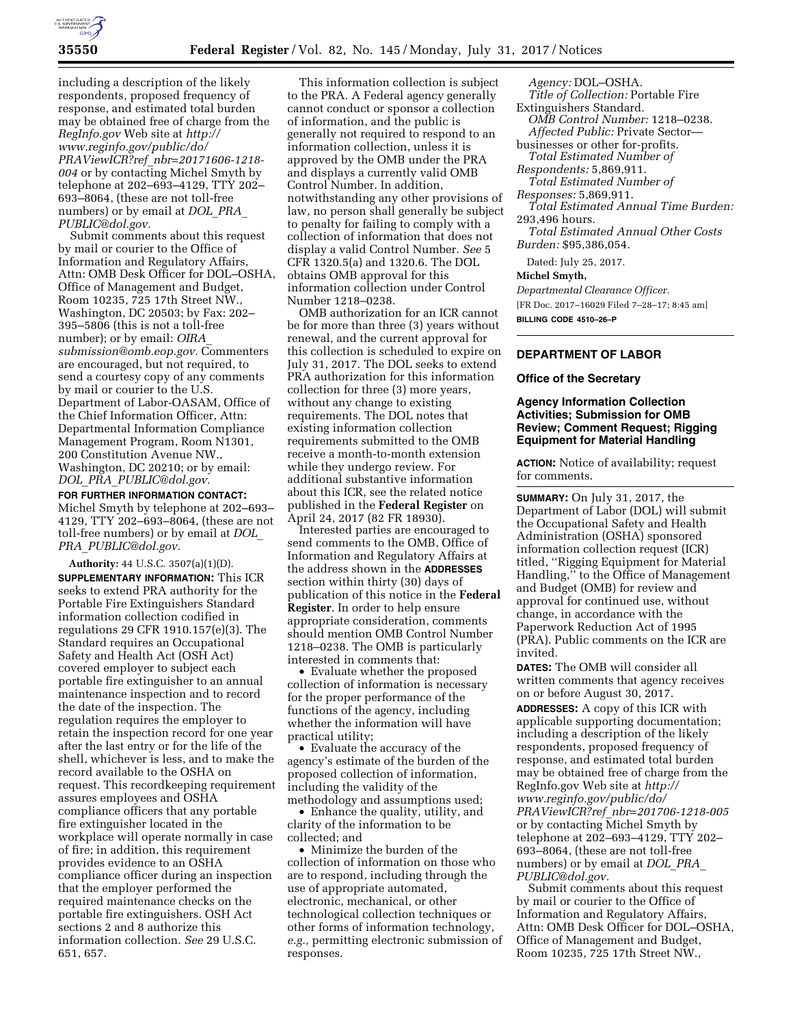

including a description of the likely respondents, proposed frequency of response, and estimated total burden may be obtained free of charge from the *RegInfo.gov* Web site at *[http://](http://www.reginfo.gov/public/do/PRAViewICR?ref_nbr=20171606-1218-004) [www.reginfo.gov/public/do/](http://www.reginfo.gov/public/do/PRAViewICR?ref_nbr=20171606-1218-004)  PRAViewICR?ref*\_*[nbr=20171606-1218-](http://www.reginfo.gov/public/do/PRAViewICR?ref_nbr=20171606-1218-004) [004](http://www.reginfo.gov/public/do/PRAViewICR?ref_nbr=20171606-1218-004)* or by contacting Michel Smyth by telephone at 202–693–4129, TTY 202– 693–8064, (these are not toll-free numbers) or by email at *[DOL](mailto:DOL_PRA_PUBLIC@dol.gov)*\_*PRA*\_ *[PUBLIC@dol.gov.](mailto:DOL_PRA_PUBLIC@dol.gov)* 

Submit comments about this request by mail or courier to the Office of Information and Regulatory Affairs, Attn: OMB Desk Officer for DOL–OSHA, Office of Management and Budget, Room 10235, 725 17th Street NW., Washington, DC 20503; by Fax: 202– 395–5806 (this is not a toll-free number); or by email: *[OIRA](mailto:OIRA_submission@omb.eop.gov)*\_ *[submission@omb.eop.gov.](mailto:OIRA_submission@omb.eop.gov)* Commenters are encouraged, but not required, to send a courtesy copy of any comments by mail or courier to the U.S. Department of Labor-OASAM, Office of the Chief Information Officer, Attn: Departmental Information Compliance Management Program, Room N1301, 200 Constitution Avenue NW., Washington, DC 20210; or by email: *DOL*\_*PRA*\_*[PUBLIC@dol.gov.](mailto:DOL_PRA_PUBLIC@dol.gov)* 

**FOR FURTHER INFORMATION CONTACT:**  Michel Smyth by telephone at 202–693– 4129, TTY 202–693–8064, (these are not toll-free numbers) or by email at *[DOL](mailto:DOL_PRA_PUBLIC@dol.gov)*\_ *PRA*\_*[PUBLIC@dol.gov.](mailto:DOL_PRA_PUBLIC@dol.gov)* 

**Authority:** 44 U.S.C. 3507(a)(1)(D). **SUPPLEMENTARY INFORMATION:** This ICR seeks to extend PRA authority for the Portable Fire Extinguishers Standard information collection codified in regulations 29 CFR 1910.157(e)(3). The Standard requires an Occupational Safety and Health Act (OSH Act) covered employer to subject each portable fire extinguisher to an annual maintenance inspection and to record the date of the inspection. The regulation requires the employer to retain the inspection record for one year after the last entry or for the life of the shell, whichever is less, and to make the record available to the OSHA on request. This recordkeeping requirement assures employees and OSHA compliance officers that any portable fire extinguisher located in the workplace will operate normally in case of fire; in addition, this requirement provides evidence to an OSHA compliance officer during an inspection that the employer performed the required maintenance checks on the portable fire extinguishers. OSH Act sections 2 and 8 authorize this information collection. *See* 29 U.S.C. 651, 657.

This information collection is subject to the PRA. A Federal agency generally cannot conduct or sponsor a collection of information, and the public is generally not required to respond to an information collection, unless it is approved by the OMB under the PRA and displays a currently valid OMB Control Number. In addition, notwithstanding any other provisions of law, no person shall generally be subject to penalty for failing to comply with a collection of information that does not display a valid Control Number. *See* 5 CFR 1320.5(a) and 1320.6. The DOL obtains OMB approval for this information collection under Control Number 1218–0238.

OMB authorization for an ICR cannot be for more than three (3) years without renewal, and the current approval for this collection is scheduled to expire on July 31, 2017. The DOL seeks to extend PRA authorization for this information collection for three (3) more years, without any change to existing requirements. The DOL notes that existing information collection requirements submitted to the OMB receive a month-to-month extension while they undergo review. For additional substantive information about this ICR, see the related notice published in the **Federal Register** on April 24, 2017 (82 FR 18930).

Interested parties are encouraged to send comments to the OMB, Office of Information and Regulatory Affairs at the address shown in the **ADDRESSES** section within thirty (30) days of publication of this notice in the **Federal Register**. In order to help ensure appropriate consideration, comments should mention OMB Control Number 1218–0238. The OMB is particularly interested in comments that:

• Evaluate whether the proposed collection of information is necessary for the proper performance of the functions of the agency, including whether the information will have practical utility;

• Evaluate the accuracy of the agency's estimate of the burden of the proposed collection of information, including the validity of the methodology and assumptions used;

• Enhance the quality, utility, and clarity of the information to be collected; and

• Minimize the burden of the collection of information on those who are to respond, including through the use of appropriate automated, electronic, mechanical, or other technological collection techniques or other forms of information technology, *e.g.,* permitting electronic submission of responses.

*Agency:* DOL–OSHA.

- *Title of Collection:* Portable Fire Extinguishers Standard.
- *OMB Control Number:* 1218–0238.
- *Affected Public:* Private Sector businesses or other for-profits.
- *Total Estimated Number of Respondents:* 5,869,911.
- *Total Estimated Number of*
- *Responses:* 5,869,911.
- *Total Estimated Annual Time Burden:*  293,496 hours.

*Total Estimated Annual Other Costs Burden:* \$95,386,054.

Dated: July 25, 2017.

**Michel Smyth,** 

*Departmental Clearance Officer.*  [FR Doc. 2017–16029 Filed 7–28–17; 8:45 am]

**BILLING CODE 4510–26–P** 

# **DEPARTMENT OF LABOR**

#### **Office of the Secretary**

### **Agency Information Collection Activities; Submission for OMB Review; Comment Request; Rigging Equipment for Material Handling**

**ACTION:** Notice of availability; request for comments.

**SUMMARY:** On July 31, 2017, the Department of Labor (DOL) will submit the Occupational Safety and Health Administration (OSHA) sponsored information collection request (ICR) titled, ''Rigging Equipment for Material Handling,'' to the Office of Management and Budget (OMB) for review and approval for continued use, without change, in accordance with the Paperwork Reduction Act of 1995 (PRA). Public comments on the ICR are invited.

**DATES:** The OMB will consider all written comments that agency receives on or before August 30, 2017.

**ADDRESSES:** A copy of this ICR with applicable supporting documentation; including a description of the likely respondents, proposed frequency of response, and estimated total burden may be obtained free of charge from the RegInfo.gov Web site at *[http://](http://www.reginfo.gov/public/do/PRAViewICR?ref_nbr=201706-1218-005) [www.reginfo.gov/public/do/](http://www.reginfo.gov/public/do/PRAViewICR?ref_nbr=201706-1218-005)  PRAViewICR?ref*\_*[nbr=201706-1218-005](http://www.reginfo.gov/public/do/PRAViewICR?ref_nbr=201706-1218-005)*  or by contacting Michel Smyth by telephone at 202–693–4129, TTY 202– 693–8064, (these are not toll-free numbers) or by email at *[DOL](mailto:DOL_PRA_PUBLIC@dol.gov)*\_*PRA*\_ *[PUBLIC@dol.gov.](mailto:DOL_PRA_PUBLIC@dol.gov)* 

Submit comments about this request by mail or courier to the Office of Information and Regulatory Affairs, Attn: OMB Desk Officer for DOL–OSHA, Office of Management and Budget, Room 10235, 725 17th Street NW.,